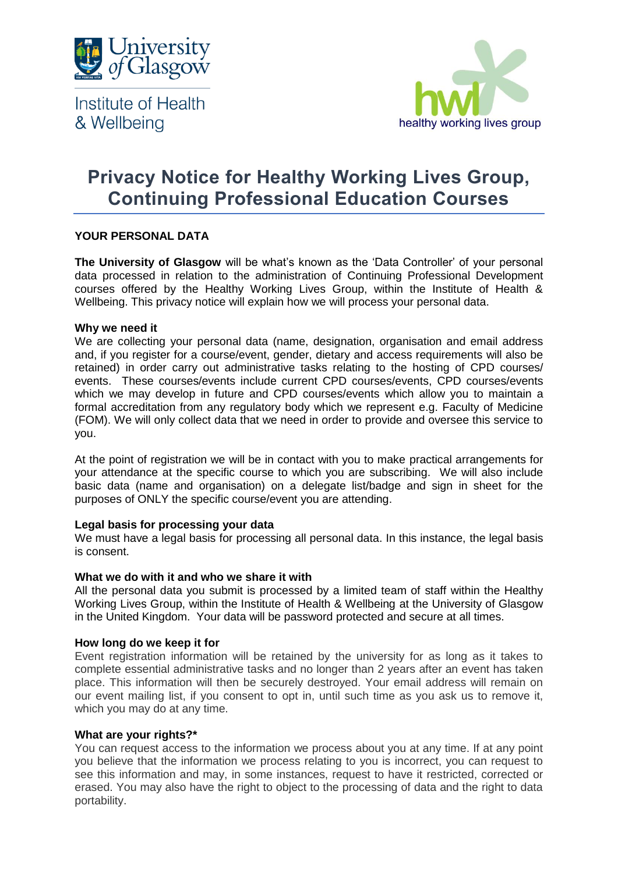

Institute of Health & Wellbeing



# **Privacy Notice for Healthy Working Lives Group, Continuing Professional Education Courses**

# **YOUR PERSONAL DATA**

**The University of Glasgow** will be what's known as the 'Data Controller' of your personal data processed in relation to the administration of Continuing Professional Development courses offered by the Healthy Working Lives Group, within the Institute of Health & Wellbeing. This privacy notice will explain how we will process your personal data.

## **Why we need it**

We are collecting your personal data (name, designation, organisation and email address and, if you register for a course/event, gender, dietary and access requirements will also be retained) in order carry out administrative tasks relating to the hosting of CPD courses/ events. These courses/events include current CPD courses/events, CPD courses/events which we may develop in future and CPD courses/events which allow you to maintain a formal accreditation from any regulatory body which we represent e.g. Faculty of Medicine (FOM). We will only collect data that we need in order to provide and oversee this service to you.

At the point of registration we will be in contact with you to make practical arrangements for your attendance at the specific course to which you are subscribing. We will also include basic data (name and organisation) on a delegate list/badge and sign in sheet for the purposes of ONLY the specific course/event you are attending.

## **Legal basis for processing your data**

We must have a legal basis for processing all personal data. In this instance, the legal basis is consent.

#### **What we do with it and who we share it with**

All the personal data you submit is processed by a limited team of staff within the Healthy Working Lives Group, within the Institute of Health & Wellbeing at the University of Glasgow in the United Kingdom. Your data will be password protected and secure at all times.

## **How long do we keep it for**

Event registration information will be retained by the university for as long as it takes to complete essential administrative tasks and no longer than 2 years after an event has taken place. This information will then be securely destroyed. Your email address will remain on our event mailing list, if you consent to opt in, until such time as you ask us to remove it, which you may do at any time.

#### **What are your rights?\***

You can request access to the information we process about you at any time. If at any point you believe that the information we process relating to you is incorrect, you can request to see this information and may, in some instances, request to have it restricted, corrected or erased. You may also have the right to object to the processing of data and the right to data portability.